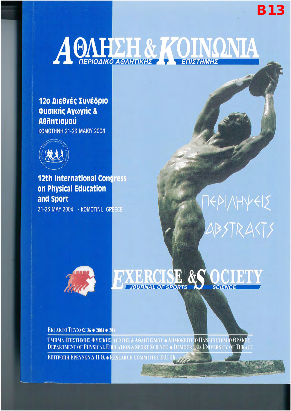# A CAHELL & KOINQNIA

120 Διεθνές Συνέδριο Φυσικής Αγωγής & **A**OAntiquou **KOMOTHNH 21-23 MAÏOY 2004** 



**12th International Congress** on Physical Education and Sport

21-23 MAY 2004 - KOMOTINI, GREECE

## **TEPI/HYEIS** ABSTRAKTS

**B13** 



### EXERCISE &S

ЕКТАКТО ТЕҮХОΣ 36 ● 2004 ● 20 €

**ΤΜΗΜΑ ΕΠΙΣΤΗΜΗΣ ΦΥΣΙΚΗΣ** ΑΓΩΓΗΣ & ΑΘΛΗΤΙΣΜΟΥ ο ΔΗΜΟΚΡΙΤΕΙΟ ΠΑΝΕΠΙΣΤΗΜΙΟ ΘΡΑΚΗΣ<br>**DEPARTMENT OF PHYSICAL ED**UCATION & SPORT SCIENCE ο DEMOCRITUS UNIVERSITY OF THRACE

EΠΙΤΡΟΠΗ ΕΡΕΥΝΩΝ Δ.Π.Θ. . RESEARCH COMMITTEE D.U.T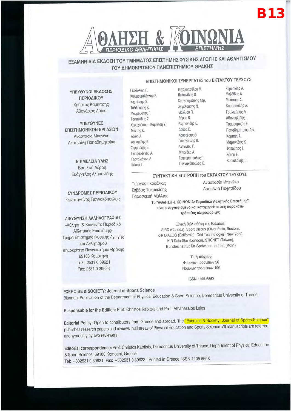

ΕΞΑΜΗΝΙΑΙΑ ΕΚΔΟΣΗ ΤΟΥ ΤΜΗΜΑΤΟΣ ΕΠΙΣΤΗΜΗΣ ΦΥΣΙΚΗΣ ΑΓΩΓΗΣ ΚΑΙ ΑΘΛΗΤΙΣΜΟΥ ΤΟΥ ΔΗΜΟΚΡΙΤΕΙΟΥ ΠΑΝΕΠΙΣΤΗΜΙΟΥ ΘΡΑΚΗΣ

### ΕΠΙΣΤΗΜΟΝΙΚΟΙ ΣΥΝΕΡΓΑΤΕΣ του ΕΚΤΑΚΤΟΥ ΤΕΥΧΟΥΣ

ΥΠΕΥΘΥΝΟΙ ΕΚΔΟΣΗΣ ΠΕΡΙΟΔΙΚΟΥ Χρήστος Καμπίτσης Αθανάσιος Λάϊος

ΥΠΕΥΘΥΝΕΣ ΕΠΙΣΤΗΜΟΝΙΚΩΝ ΕΡΓΑΣΙΩΝ Αναστασία Μπενέκα Ακατερίνη Παπαδημητρίου

> ΕΠΙΜΕΛΕΙΑ ΥΛΗΣ Βασιλική Δέρρη Ευάγγελος Αλμπανίδης

ΣΥΝΔΡΟΜΕΣ ΠΕΡΙΟΔΙΚΟΥ Κωνσταντίνος Γιαννακόπουλος

### ΔΙΕΥΘΥΝΣΗ ΑΛΛΗΛΟΓΡΑΦΙΑΣ

«Άθληση & Κοινωνία: Περιοδικό Αθλητικής Επιστήμης» Τμήμα Επιστήμης Φυσικής Αγωγής και Αθλητισμού Δημοκρίτειο Πανεπιστήμιο Θράκης 69100 Κομοτηνή Τηλ.: 2531 0 39621 Fax: 2531 0 39623

Γκοδόλιας Γ. Κιουμουρτζόγλου Ε. Καμπίτσης Χ. Ταξιλδάρης Κ. Μαυρομάτης Γ. Τοκμακίδης Σ. Χαραχούσου - Καμπίτση Υ. Mávme K. Λάιος Α. Λαπαρίδης Κ. Σερμπέζης Β. Παπαϊωάννου Α. Γαργαλιάνος Δ. Κώστα Γ.

Μιχαλοπούλου Μ. Πυλιανίδης Θ. Κουγιουμτζίδης Χαρ. Αγγελούσης Ν. Μάλλιου Π. Δέρρη Β. Αλμπανίδης Ε. Δούδα Ε. Κουρτέσης Θ. Γούργουλης Β. Αντωνίου Π. Μπενέκα Α. Γρηγορόπουλος Π. Γιαννακόπουλος Κ.

Καουπίδης Α. Μαββίδης Α. Μπάτσιου Σ. Κασαμπαλής Α. Γουλιμάρης Δ. Αθαναηλίδης Ι. Τσαμουρτζής Ε. Παπαδημητρίου Αικ. Καμπάς Α. Μαρτινίδης Κ. Φατούρος Ι. Ζέτου Ε. Κυριαλάνης Π.

### ΣΥΝΤΑΚΤΙΚΗ ΕΠΙΤΡΟΠΗ του ΕΚΤΑΚΤΟΥ ΤΕΥΧΟΥΣ

Γιώργος Γκοδόλιας Σάββας Τοκμακίδης Παρασκευή Μάλλιου Αναστασία Μπενέκα Ασημένια Γιοφτσίδου

Το "ΑΘΛΗΣΗ & ΚΟΙΝΩΝΙΑ: Περιοδικό Αθλητικής Επιστήμης" είναι αναγνωρισμένο και καταχωρείται στις παρακάτω τράπεζες πληροφοριών:

Εθνική Βιβλιοθήκη της Ελλάδος, SIRC (Canada), Sport Discus (Silver Plate, Boston), K-R DIALOG (California), Orid Technologies (New York), K-R Data-Star (London), STICNET (Taiwan), Bundesinstitut für Sprtwissenschaft (Köln)

> Τιμή τεύχους Φυσικών προσώπων 5€ Νομικών προσώπων 10€

> > ISSN 1105-655X

### **EXERCISE & SOCIETY: Journal of Sports Science**

Biannual Publication of the Department of Physical Education & Sport Science, Democritus University of Thrace

Responsable for the Edition: Prof. Christos Kabitsis and Prof. Athanassios Laios

Editorial Policy: Open to contributors from Greece and abroad. The "Exercise & Society: Journal of Sports Science" publishes research papers and reviews in all areas of Physical Education and Sports Science. All manuscripts are referred anonymously by two reviewers.

Editorial correspondence: Prof. Christos Kabitsis, Democritus University of Thrace, Department of Physical Education & Sport Science, 69100 Komotini, Greece Tel: +302531 0 39621 Fax: +302531 0 39623 Printed in Greece ISSN 1105-655X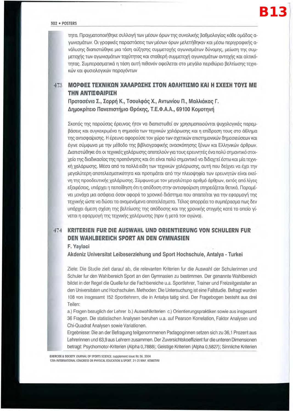τητα. Πραγματοποιήθηκε συλλογή των μέσων όρων της συνολικής βαθμολογίας κάθε ομάδας αγωνισμάτων. Οι γραφικές παραστάσεις των μέσων όρων μελετήθηκαν και μέσω περιγραφικής ανάλυσης διαπιστώθηκε μια τάση αύξησης συμμετοχής αγωνισμάτων δύναμης, μείωση της συμμετοχής των αγωνισμάτων ταχύτητας και σταθερή συμμετοχή αγωνισμάτων αντοχής και αλτικότητας. Συμπερασματικά η τάση αυτή πιθανόν οφείλεται στο μεγάλο περιθώριο βελτίωσης τεχνικών και φυσιολογικών παραγόντων

### 473 ΜΟΡΦΕΣ ΤΕΧΝΙΚΩΝ ΧΑΛΑΡΩΣΗΣ ΣΤΟΝ ΑΘΛΗΤΙΣΜΟ ΚΑΙ Η ΣΧΕΣΗ ΤΟΥΣ ΜΕ ΤΗΝ ΑΝΤΙΣΦΑΙΡΙΣΗ

Προτασένια Σ., Σαρρή Κ., Τσουλφάς Χ., Αντωνίου Π., Μαλλιάκας Γ. Δημοκρίτειο Πανεπιστήμιο Θράκης, Τ.Ε.Φ.Α.Α., 69100 Κομοτηνή

Σκοπός της παρούσας έρευνας ήταν να διαπιστωθεί αν χρησιμοποιούνται ψυχολογικές παρεμβάσεις και συγκεκριμένα η σημασία των τεχνικών χαλάρωσης και η επίδραση τους στο άθλημα της αντισφαίρισης. Η έρευνα αφορούσε τον χώρο των σχετικών επιστημονικών δημοσιεύσεων και έγινε σύμφωνα με την μέθοδο της βιβλιογραφικής ανασκόπησης ξένων και Ελληνικών άρθρων. Διαπιστώθηκε ότι οι τεχνικές χαλάρωσης αποτελούν για τους ερευνητές ένα πολύ σημαντικό στοιχείο της διαδικασίας της προπόνησης και ότι είναι πολύ σημαντικό να διδαχτεί έστω και μία τεχνική χαλάρωσης. Μέσα από τα πολλά είδη των τεχνικών χαλάρωσης, αυτή που δείχνει να έχει την μεγαλύτερη αποτελεσματικότητα και προτιμάται από την πλειοψηφία των ερευνητών είναι εκείνη της προοδευτικής χαλάρωσης. Σύμφωνα με τον μεγαλύτερο αριθμό άρθρων, εκτός από λίγες εξαιρέσεις, υπάρχει η πεποίθηση ότι η απόδοση στην αντισφαίριση επηρεάζεται θετικά. Παραμένει μονάχα μια ασάφεια όσον αφορά το χρονικό διάστημα που απαιτείται για την εφαρμογή της τεχνικής ώστε να δώσει τα αναμενόμενα αποτελέσματα. Τέλος απορρέει το συμπέρασμα πως δεν υπάρχει άμεση σχέση της βελτίωσης της απόδοσης και της χρονικής στιγμής κατά το οποίο γίνεται η εφαρμογή της τεχνικής χαλάρωσης (πριν ή μετά τον αγώνα).

### 474 **KRITERIEN FUR DIE AUSWAHL UND ORIENTIERUNG VON SCHULERN FUR** DEN WAHLBEREICH SPORT AN DEN GYMNASIEN

### F. Yaylaci

Akdeniz Universitat Leibeserziehung und Sport Hochschule, Antalya - Turkei

Ziele: Die Studie zielt darauf ab, die relevanten Kriterien fur die Auswahl der Schulerinnen und Schuler fur den Wahlbereich Sport an den Gymnasien zu bestimmen. Der genannte Wahlbereich bildet in der Regel die Quelle fur die Fachbereiche u.a. Sportlehrer, Trainer und Freizeitgestalter an den Universitaten und Hochschulen. Methoden: Die Untersuchung ist eine Fallstudie. Befragt wurden 108 von insgesamt 152 Sportlehrern, die in Antalya tatig sind. Der Fragebogen besteht aus drei Teilen:

a.) Fragen bezuglich der Lehrer b.) Auswahlkriterien c.) Orientierungspraktiken sowie aus insgesamt 36 Fragen. Die statistischen Analysen beruhen u.a. auf Pearson Korrelation, Faktor Analysen und Chi-Quadrat Analysen sowie Variationen.

Ergebnisse: Die an der Befragung teilgenommenen Padagoginnen setzen sich zu 36,1 Prozent aus Lehrerinnen und 63,9 aus Lehrern zusammen. Der Zuversichtskoeffizient fur die unteren Dimensionen betragt: Psychomotor-Kriterien (Alpha 0,7888); Geistige Kriterien (Alpha 0,5827); Sinnliche Kriterien

EXERCISE & SOCIETY JOURNAL OF SPORTS SCIENCE, supplement issue No 36, 2004 12th INTERNATIONAL CONGRESS ON PHYSICAL EDUCATION & SPORT, 21-23 MAY, KOMOTINI